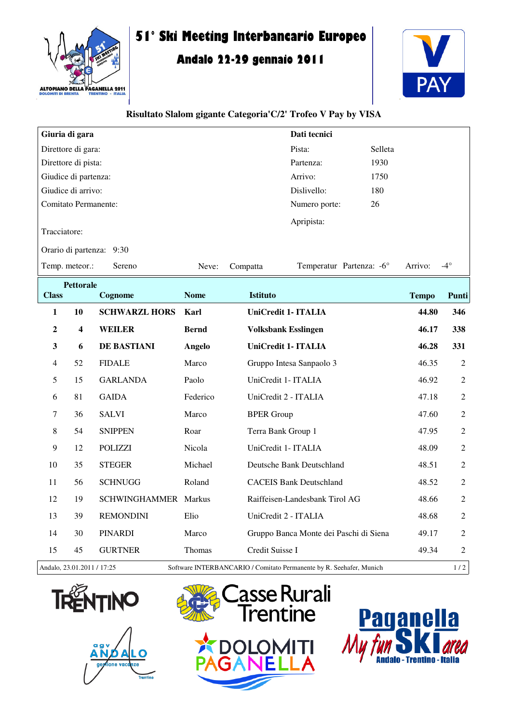

## **51° Ski Meeting Interbancario Europeo**

## **Andalo 22-29 gennaio 2011**



## **Risultato Slalom gigante Categoria'C/2' Trofeo V Pay by VISA**

| Giuria di gara                                                                                    |                          |                      |               |                    | Dati tecnici                           |         |              |                |  |  |  |  |  |
|---------------------------------------------------------------------------------------------------|--------------------------|----------------------|---------------|--------------------|----------------------------------------|---------|--------------|----------------|--|--|--|--|--|
| Direttore di gara:                                                                                |                          |                      |               |                    | Pista:                                 | Selleta |              |                |  |  |  |  |  |
| Direttore di pista:                                                                               |                          |                      |               |                    | Partenza:                              | 1930    |              |                |  |  |  |  |  |
| Giudice di partenza:                                                                              |                          |                      |               |                    | Arrivo:                                | 1750    |              |                |  |  |  |  |  |
| Giudice di arrivo:                                                                                |                          |                      |               |                    | Dislivello:                            | 180     |              |                |  |  |  |  |  |
| <b>Comitato Permanente:</b>                                                                       |                          |                      |               |                    | Numero porte:                          | 26      |              |                |  |  |  |  |  |
| Tracciatore:                                                                                      |                          |                      |               |                    | Apripista:                             |         |              |                |  |  |  |  |  |
|                                                                                                   | Orario di partenza: 9:30 |                      |               |                    |                                        |         |              |                |  |  |  |  |  |
| Temp. meteor.:                                                                                    |                          | Sereno               | Neve:         | Compatta           | Temperatur Partenza: -6°               |         | Arrivo:      | $-4^\circ$     |  |  |  |  |  |
| <b>Pettorale</b><br><b>Class</b><br>Cognome                                                       |                          |                      | <b>Nome</b>   | <b>Istituto</b>    |                                        |         | <b>Tempo</b> | Punti          |  |  |  |  |  |
| 1                                                                                                 | 10                       | <b>SCHWARZL HORS</b> | Karl          |                    | <b>UniCredit 1- ITALIA</b>             |         | 44.80        | 346            |  |  |  |  |  |
|                                                                                                   |                          |                      |               |                    |                                        |         |              |                |  |  |  |  |  |
| 2                                                                                                 | $\overline{\mathbf{4}}$  | <b>WEILER</b>        | <b>Bernd</b>  |                    | <b>Volksbank Esslingen</b>             |         | 46.17        | 338            |  |  |  |  |  |
| 3                                                                                                 | 6                        | DE BASTIANI          | <b>Angelo</b> |                    | UniCredit 1- ITALIA                    |         | 46.28        | 331            |  |  |  |  |  |
| 4                                                                                                 | 52                       | <b>FIDALE</b>        | Marco         |                    | Gruppo Intesa Sanpaolo 3               |         | 46.35        | $\overline{2}$ |  |  |  |  |  |
| 5                                                                                                 | 15                       | <b>GARLANDA</b>      | Paolo         |                    | UniCredit 1- ITALIA                    |         | 46.92        | $\overline{2}$ |  |  |  |  |  |
| 6                                                                                                 | 81                       | <b>GAIDA</b>         | Federico      |                    | UniCredit 2 - ITALIA                   |         | 47.18        | 2              |  |  |  |  |  |
| 7                                                                                                 | 36                       | <b>SALVI</b>         | Marco         | <b>BPER Group</b>  |                                        |         | 47.60        | $\overline{2}$ |  |  |  |  |  |
| 8                                                                                                 | 54                       | <b>SNIPPEN</b>       | Roar          | Terra Bank Group 1 |                                        |         | 47.95        | $\overline{2}$ |  |  |  |  |  |
| 9                                                                                                 | 12                       | <b>POLIZZI</b>       | Nicola        |                    | UniCredit 1- ITALIA                    |         | 48.09        | $\overline{2}$ |  |  |  |  |  |
| 10                                                                                                | 35                       | <b>STEGER</b>        | Michael       |                    | Deutsche Bank Deutschland              |         | 48.51        | $\overline{2}$ |  |  |  |  |  |
| 11                                                                                                | 56                       | <b>SCHNUGG</b>       | Roland        |                    | <b>CACEIS Bank Deutschland</b>         |         | 48.52        | $\overline{2}$ |  |  |  |  |  |
| 12                                                                                                | 19                       | SCHWINGHAMMER Markus |               |                    | Raiffeisen-Landesbank Tirol AG         |         | 48.66        | $\overline{2}$ |  |  |  |  |  |
| 13                                                                                                | 39                       | <b>REMONDINI</b>     | Elio          |                    | UniCredit 2 - ITALIA                   |         | 48.68        | 2              |  |  |  |  |  |
| 14                                                                                                | 30                       | <b>PINARDI</b>       | Marco         |                    | Gruppo Banca Monte dei Paschi di Siena |         | 49.17        | $\overline{2}$ |  |  |  |  |  |
| 15                                                                                                | 45                       | <b>GURTNER</b>       | Thomas        | Credit Suisse I    |                                        |         | 49.34        | $\overline{2}$ |  |  |  |  |  |
| Andalo, 23.01.2011 / 17:25<br>Software INTERBANCARIO / Comitato Permanente by R. Seehafer, Munich |                          |                      |               |                    |                                        |         |              | 1/2            |  |  |  |  |  |